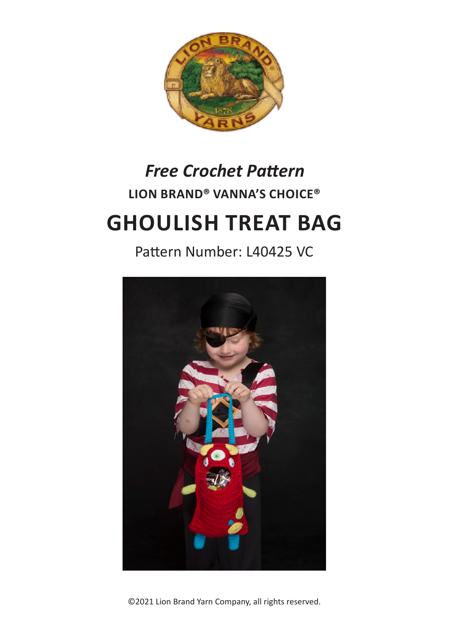

# **LION BRAND® VANNA'S CHOICE®**  *Free Crochet Pattern*

## **GHOULISH TREAT BAG**

## Pattern Number: L40425 VC



©2021 Lion Brand Yarn Company, all rights reserved.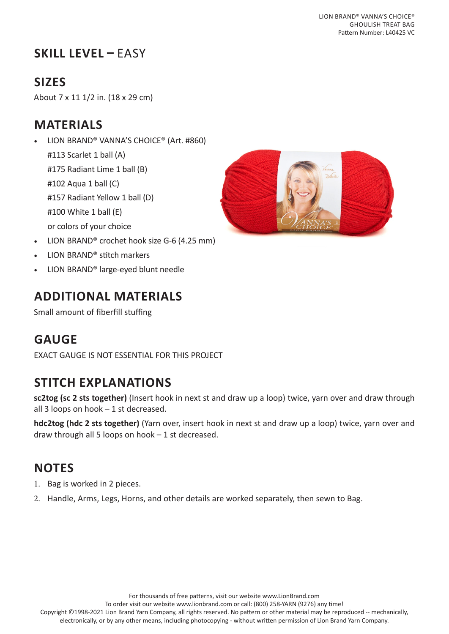## **SKILL LEVEL –** EASY

## **SIZES**

About 7 x 11 1/2 in. (18 x 29 cm)

## **MATERIALS**

• LION BRAND® VANNA'S CHOICE® (Art. #860) #113 Scarlet 1 ball (A) #175 Radiant Lime 1 ball (B) #102 Aqua 1 ball (C) #157 Radiant Yellow 1 ball (D) #100 White 1 ball (E) or colors of your choice

- LION BRAND® crochet hook size G-6 (4.25 mm)
- LION BRAND® stitch markers
- LION BRAND® large-eyed blunt needle

## **ADDITIONAL MATERIALS**

Small amount of fiberfill stuffing

## **GAUGE**

EXACT GAUGE IS NOT ESSENTIAL FOR THIS PROJECT

## **STITCH EXPLANATIONS**

**sc2tog (sc 2 sts together)** (Insert hook in next st and draw up a loop) twice, yarn over and draw through all 3 loops on hook – 1 st decreased.

**hdc2tog (hdc 2 sts together)** (Yarn over, insert hook in next st and draw up a loop) twice, yarn over and draw through all 5 loops on hook – 1 st decreased.

## **NOTES**

- 1. Bag is worked in 2 pieces.
- 2. Handle, Arms, Legs, Horns, and other details are worked separately, then sewn to Bag.



To order visit our website www.lionbrand.com or call: (800) 258-YARN (9276) any time!

Copyright ©1998-2021 Lion Brand Yarn Company, all rights reserved. No pattern or other material may be reproduced -- mechanically, electronically, or by any other means, including photocopying - without written permission of Lion Brand Yarn Company.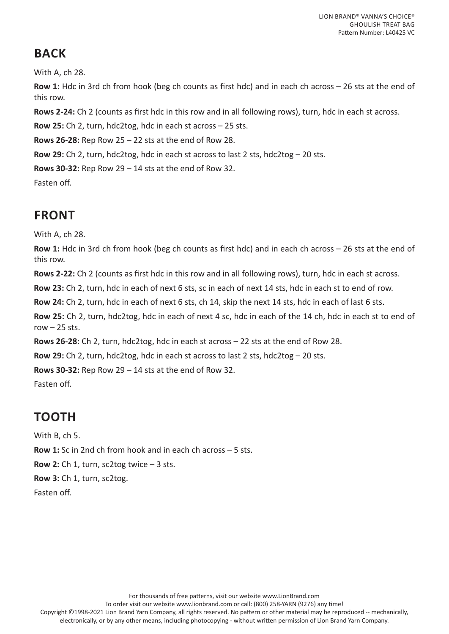## **BACK**

With A, ch 28.

**Row 1:** Hdc in 3rd ch from hook (beg ch counts as first hdc) and in each ch across – 26 sts at the end of this row.

**Rows 2-24:** Ch 2 (counts as first hdc in this row and in all following rows), turn, hdc in each st across.

**Row 25:** Ch 2, turn, hdc2tog, hdc in each st across – 25 sts.

**Rows 26-28:** Rep Row 25 – 22 sts at the end of Row 28.

**Row 29:** Ch 2, turn, hdc2tog, hdc in each st across to last 2 sts, hdc2tog – 20 sts.

**Rows 30-32:** Rep Row 29 – 14 sts at the end of Row 32.

Fasten off.

## **FRONT**

With A, ch 28.

**Row 1:** Hdc in 3rd ch from hook (beg ch counts as first hdc) and in each ch across – 26 sts at the end of this row.

**Rows 2-22:** Ch 2 (counts as first hdc in this row and in all following rows), turn, hdc in each st across.

**Row 23:** Ch 2, turn, hdc in each of next 6 sts, sc in each of next 14 sts, hdc in each st to end of row.

**Row 24:** Ch 2, turn, hdc in each of next 6 sts, ch 14, skip the next 14 sts, hdc in each of last 6 sts.

**Row 25:** Ch 2, turn, hdc2tog, hdc in each of next 4 sc, hdc in each of the 14 ch, hdc in each st to end of row  $-25$  sts.

**Rows 26-28:** Ch 2, turn, hdc2tog, hdc in each st across – 22 sts at the end of Row 28.

**Row 29:** Ch 2, turn, hdc2tog, hdc in each st across to last 2 sts, hdc2tog – 20 sts.

**Rows 30-32:** Rep Row 29 – 14 sts at the end of Row 32.

Fasten off.

## **TOOTH**

With B, ch 5.

**Row 1:** Sc in 2nd ch from hook and in each ch across – 5 sts.

**Row 2:** Ch 1, turn, sc2tog twice – 3 sts.

**Row 3:** Ch 1, turn, sc2tog.

Fasten off.

For thousands of free patterns, visit our website www.LionBrand.com

To order visit our website www.lionbrand.com or call: (800) 258-YARN (9276) any time!

Copyright ©1998-2021 Lion Brand Yarn Company, all rights reserved. No pattern or other material may be reproduced -- mechanically, electronically, or by any other means, including photocopying - without written permission of Lion Brand Yarn Company.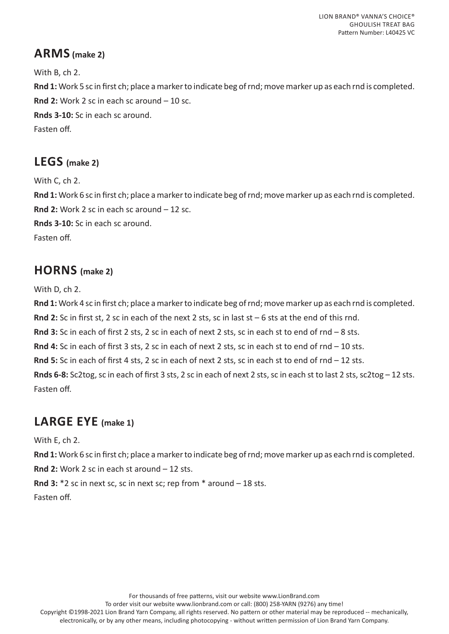#### **ARMS (make 2)**

With B, ch 2. **Rnd 1:** Work 5 sc in first ch; place a marker to indicate beg of rnd; move marker up as each rnd is completed. **Rnd 2:** Work 2 sc in each sc around – 10 sc. **Rnds 3-10:** Sc in each sc around. Fasten off.

#### **LEGS (make 2)**

With C, ch 2. **Rnd 1:** Work 6 sc in first ch; place a marker to indicate beg of rnd; move marker up as each rnd is completed. **Rnd 2:** Work 2 sc in each sc around – 12 sc. **Rnds 3-10:** Sc in each sc around. Fasten off.

#### **HORNS (make 2)**

With D, ch 2.

**Rnd 1:** Work 4 sc in first ch; place a marker to indicate beg of rnd; move marker up as each rnd is completed. **Rnd 2:** Sc in first st, 2 sc in each of the next 2 sts, sc in last st – 6 sts at the end of this rnd. **Rnd 3:** Sc in each of first 2 sts, 2 sc in each of next 2 sts, sc in each st to end of rnd – 8 sts. **Rnd 4:** Sc in each of first 3 sts, 2 sc in each of next 2 sts, sc in each st to end of rnd – 10 sts. **Rnd 5:** Sc in each of first 4 sts, 2 sc in each of next 2 sts, sc in each st to end of rnd – 12 sts. **Rnds 6-8:** Sc2tog, sc in each of first 3 sts, 2 sc in each of next 2 sts, sc in each st to last 2 sts, sc2tog – 12 sts. Fasten off.

#### **LARGE EYE (make 1)**

With E, ch 2.

**Rnd 1:** Work 6 sc in first ch; place a marker to indicate beg of rnd; move marker up as each rnd is completed.

**Rnd 2:** Work 2 sc in each st around – 12 sts.

**Rnd 3:** \*2 sc in next sc, sc in next sc; rep from \* around – 18 sts. Fasten off.

For thousands of free patterns, visit our website www.LionBrand.com

To order visit our website www.lionbrand.com or call: (800) 258-YARN (9276) any time!

Copyright ©1998-2021 Lion Brand Yarn Company, all rights reserved. No pattern or other material may be reproduced -- mechanically, electronically, or by any other means, including photocopying - without written permission of Lion Brand Yarn Company.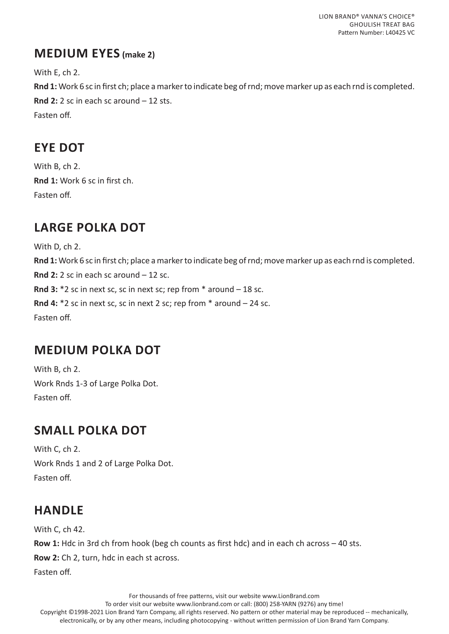#### **MEDIUM EYES (make 2)**

With E, ch 2.

**Rnd 1:** Work 6 sc in first ch; place a marker to indicate beg of rnd; move marker up as each rnd is completed. **Rnd 2:** 2 sc in each sc around – 12 sts. Fasten off.

## **EYE DOT**

With B, ch 2. **Rnd 1:** Work 6 sc in first ch. Fasten off.

## **LARGE POLKA DOT**

With D, ch 2. **Rnd 1:** Work 6 sc in first ch; place a marker to indicate beg of rnd; move marker up as each rnd is completed. **Rnd 2:** 2 sc in each sc around – 12 sc. **Rnd 3:** \*2 sc in next sc, sc in next sc; rep from \* around – 18 sc. **Rnd 4:** \*2 sc in next sc, sc in next 2 sc; rep from \* around – 24 sc. Fasten off.

## **MEDIUM POLKA DOT**

With B, ch 2. Work Rnds 1-3 of Large Polka Dot. Fasten off.

## **SMALL POLKA DOT**

With C, ch 2. Work Rnds 1 and 2 of Large Polka Dot. Fasten off.

## **HANDLE**

With C, ch 42. **Row 1:** Hdc in 3rd ch from hook (beg ch counts as first hdc) and in each ch across – 40 sts. **Row 2:** Ch 2, turn, hdc in each st across. Fasten off.